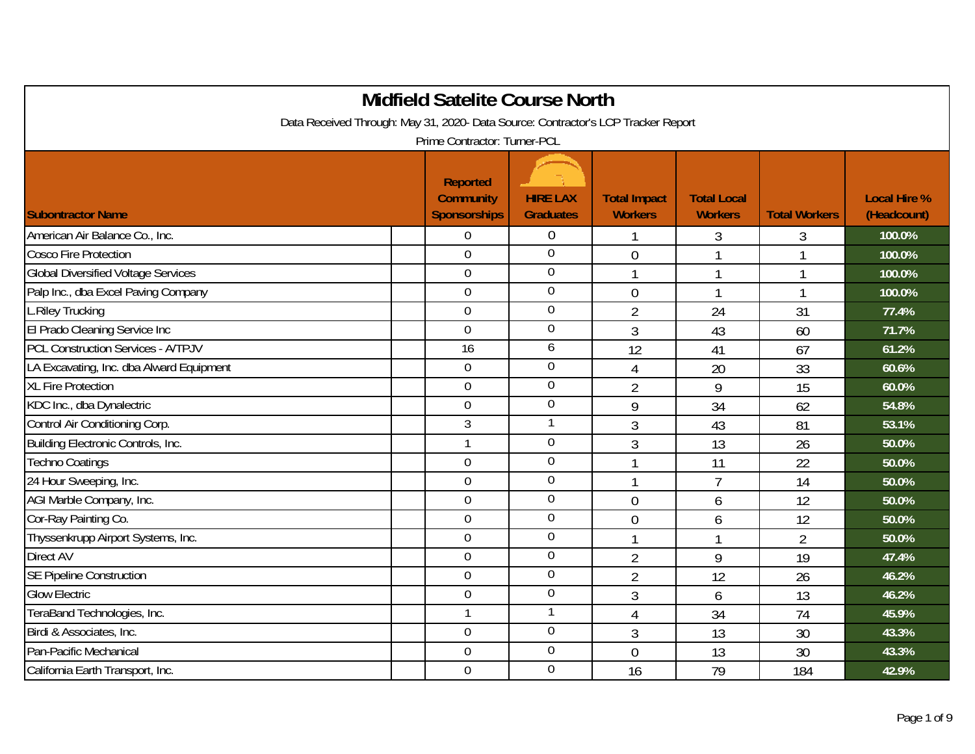| <b>Midfield Satelite Course North</b>                                             |                                                     |                                     |                                       |                                      |                      |                                    |  |  |  |
|-----------------------------------------------------------------------------------|-----------------------------------------------------|-------------------------------------|---------------------------------------|--------------------------------------|----------------------|------------------------------------|--|--|--|
| Data Received Through: May 31, 2020- Data Source: Contractor's LCP Tracker Report |                                                     |                                     |                                       |                                      |                      |                                    |  |  |  |
| Prime Contractor: Turner-PCL                                                      |                                                     |                                     |                                       |                                      |                      |                                    |  |  |  |
| <b>Subontractor Name</b>                                                          | <b>Reported</b><br><b>Community</b><br>Sponsorships | <b>HIRE LAX</b><br><b>Graduates</b> | <b>Total Impact</b><br><b>Workers</b> | <b>Total Local</b><br><b>Workers</b> | <b>Total Workers</b> | <b>Local Hire %</b><br>(Headcount) |  |  |  |
| American Air Balance Co., Inc.                                                    | $\theta$                                            | $\overline{0}$                      | -1                                    | 3                                    | 3                    | 100.0%                             |  |  |  |
| <b>Cosco Fire Protection</b>                                                      | $\overline{0}$                                      | $\overline{0}$                      | $\overline{0}$                        | 1                                    |                      | 100.0%                             |  |  |  |
| <b>Global Diversified Voltage Services</b>                                        | $\overline{0}$                                      | $\overline{0}$                      | $\mathbf{1}$                          | $\overline{1}$                       |                      | 100.0%                             |  |  |  |
| Palp Inc., dba Excel Paving Company                                               | $\overline{0}$                                      | $\overline{0}$                      | $\mathbf 0$                           | 1                                    |                      | 100.0%                             |  |  |  |
| L.Riley Trucking                                                                  | $\mathbf 0$                                         | $\overline{0}$                      | $\overline{2}$                        | 24                                   | 31                   | 77.4%                              |  |  |  |
| El Prado Cleaning Service Inc                                                     | $\overline{0}$                                      | $\overline{0}$                      | $\overline{3}$                        | 43                                   | 60                   | 71.7%                              |  |  |  |
| <b>PCL Construction Services - A/TPJV</b>                                         | 16                                                  | 6                                   | 12                                    | 41                                   | 67                   | 61.2%                              |  |  |  |
| LA Excavating, Inc. dba Alward Equipment                                          | $\overline{0}$                                      | $\boldsymbol{0}$                    | $\overline{4}$                        | 20                                   | 33                   | 60.6%                              |  |  |  |
| <b>XL Fire Protection</b>                                                         | $\overline{0}$                                      | $\mathbf 0$                         | $\overline{2}$                        | 9                                    | 15                   | 60.0%                              |  |  |  |
| KDC Inc., dba Dynalectric                                                         | $\boldsymbol{0}$                                    | $\overline{0}$                      | 9                                     | 34                                   | 62                   | 54.8%                              |  |  |  |
| Control Air Conditioning Corp.                                                    | $\mathfrak{Z}$                                      | $\mathbf{1}$                        | 3                                     | 43                                   | 81                   | 53.1%                              |  |  |  |
| Building Electronic Controls, Inc.                                                | $\overline{1}$                                      | $\overline{0}$                      | $\overline{3}$                        | 13                                   | 26                   | 50.0%                              |  |  |  |
| <b>Techno Coatings</b>                                                            | $\mathbf 0$                                         | $\overline{0}$                      | $\overline{1}$                        | 11                                   | 22                   | 50.0%                              |  |  |  |
| 24 Hour Sweeping, Inc.                                                            | $\mathbf 0$                                         | $\overline{0}$                      | $\mathbf{1}$                          | $\overline{7}$                       | 14                   | 50.0%                              |  |  |  |
| AGI Marble Company, Inc.                                                          | $\Omega$                                            | $\overline{0}$                      | $\overline{0}$                        | 6                                    | 12                   | 50.0%                              |  |  |  |
| Cor-Ray Painting Co.                                                              | $\mathbf 0$                                         | $\overline{0}$                      | $\mathbf 0$                           | 6                                    | 12                   | 50.0%                              |  |  |  |
| Thyssenkrupp Airport Systems, Inc.                                                | $\mathbf 0$                                         | $\boldsymbol{0}$                    | $\mathbf{1}$                          | $\mathbf{1}$                         | $\overline{2}$       | 50.0%                              |  |  |  |
| <b>Direct AV</b>                                                                  | $\overline{0}$                                      | $\overline{0}$                      | $\overline{2}$                        | 9                                    | 19                   | 47.4%                              |  |  |  |
| <b>SE Pipeline Construction</b>                                                   | $\overline{0}$                                      | $\boldsymbol{0}$                    | $\overline{2}$                        | 12                                   | 26                   | 46.2%                              |  |  |  |
| <b>Glow Electric</b>                                                              | $\mathbf 0$                                         | $\overline{0}$                      | 3                                     | 6                                    | 13                   | 46.2%                              |  |  |  |
| TeraBand Technologies, Inc.                                                       | $\overline{1}$                                      | $\mathbf{1}$                        | 4                                     | 34                                   | 74                   | 45.9%                              |  |  |  |
| Birdi & Associates, Inc.                                                          | $\boldsymbol{0}$                                    | $\overline{0}$                      | $\mathfrak{Z}$                        | 13                                   | 30                   | 43.3%                              |  |  |  |
| Pan-Pacific Mechanical                                                            | $\mathbf 0$                                         | $\overline{0}$                      | $\overline{0}$                        | 13                                   | 30                   | 43.3%                              |  |  |  |
| California Earth Transport, Inc.                                                  | $\overline{0}$                                      | $\overline{0}$                      | 16                                    | 79                                   | 184                  | 42.9%                              |  |  |  |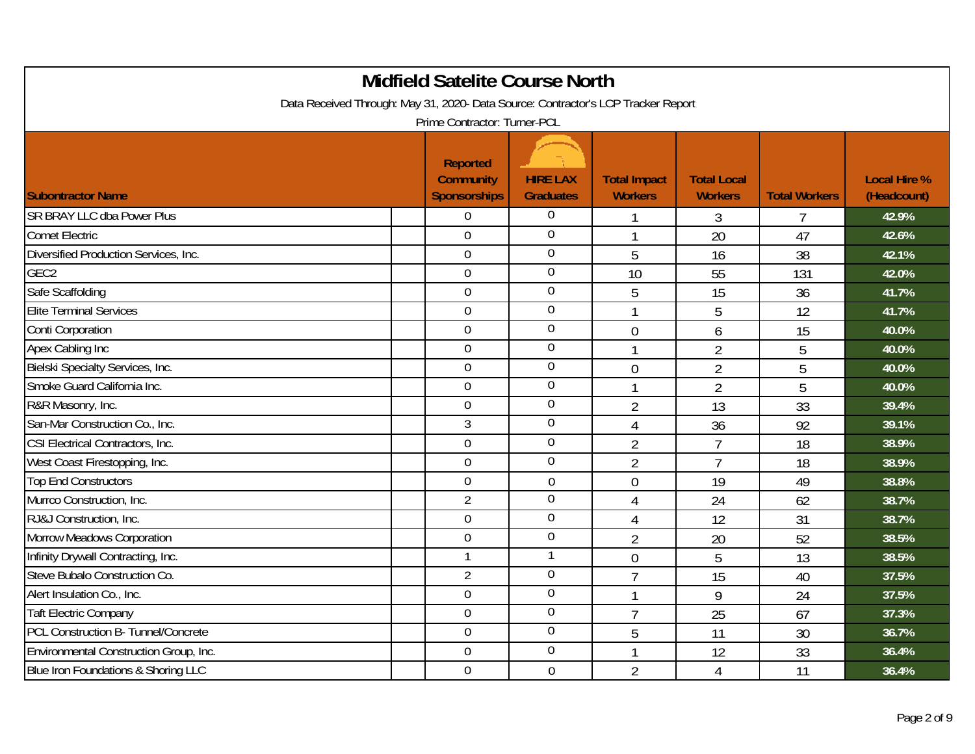| <b>Midfield Satelite Course North</b>                                                                             |                                                            |                                     |                                       |                                      |                      |                                    |  |  |  |
|-------------------------------------------------------------------------------------------------------------------|------------------------------------------------------------|-------------------------------------|---------------------------------------|--------------------------------------|----------------------|------------------------------------|--|--|--|
| Data Received Through: May 31, 2020- Data Source: Contractor's LCP Tracker Report<br>Prime Contractor: Turner-PCL |                                                            |                                     |                                       |                                      |                      |                                    |  |  |  |
| <b>Subontractor Name</b>                                                                                          | <b>Reported</b><br><b>Community</b><br><b>Sponsorships</b> | <b>HIRE LAX</b><br><b>Graduates</b> | <b>Total Impact</b><br><b>Workers</b> | <b>Total Local</b><br><b>Workers</b> | <b>Total Workers</b> | <b>Local Hire %</b><br>(Headcount) |  |  |  |
| <b>SR BRAY LLC dba Power Plus</b>                                                                                 | $\mathbf 0$                                                | $\overline{0}$                      | 1                                     | 3                                    | $\overline{7}$       | 42.9%                              |  |  |  |
| <b>Comet Electric</b>                                                                                             | $\overline{0}$                                             | $\overline{0}$                      | $\overline{1}$                        | 20                                   | 47                   | 42.6%                              |  |  |  |
| Diversified Production Services, Inc.                                                                             | $\overline{0}$                                             | $\overline{0}$                      | 5                                     | 16                                   | 38                   | 42.1%                              |  |  |  |
| GEC <sub>2</sub>                                                                                                  | $\overline{0}$                                             | $\overline{0}$                      | 10                                    | 55                                   | 131                  | 42.0%                              |  |  |  |
| Safe Scaffolding                                                                                                  | $\mathbf 0$                                                | $\overline{0}$                      | 5                                     | 15                                   | 36                   | 41.7%                              |  |  |  |
| <b>Elite Terminal Services</b>                                                                                    | $\overline{0}$                                             | $\overline{0}$                      | $\mathbf{1}$                          | 5                                    | 12                   | 41.7%                              |  |  |  |
| Conti Corporation                                                                                                 | $\mathbf 0$                                                | $\boldsymbol{0}$                    | $\mathbf 0$                           | 6                                    | 15                   | 40.0%                              |  |  |  |
| Apex Cabling Inc                                                                                                  | $\overline{0}$                                             | $\overline{0}$                      | $\mathbf{1}$                          | $\overline{2}$                       | 5                    | 40.0%                              |  |  |  |
| Bielski Specialty Services, Inc.                                                                                  | $\overline{0}$                                             | $\overline{0}$                      | $\overline{0}$                        | $\overline{2}$                       | 5                    | 40.0%                              |  |  |  |
| Smoke Guard California Inc.                                                                                       | $\mathbf 0$                                                | $\overline{0}$                      | $\mathbf 1$                           | $\overline{2}$                       | 5                    | 40.0%                              |  |  |  |
| R&R Masonry, Inc.                                                                                                 | $\overline{0}$                                             | $\overline{0}$                      | $\overline{2}$                        | 13                                   | 33                   | 39.4%                              |  |  |  |
| San-Mar Construction Co., Inc.                                                                                    | 3                                                          | $\overline{0}$                      | $\overline{4}$                        | 36                                   | 92                   | 39.1%                              |  |  |  |
| CSI Electrical Contractors, Inc.                                                                                  | $\overline{0}$                                             | $\overline{0}$                      | $\overline{2}$                        | $\overline{7}$                       | 18                   | 38.9%                              |  |  |  |
| West Coast Firestopping, Inc.                                                                                     | $\overline{0}$                                             | $\overline{0}$                      | $\overline{2}$                        | $\overline{7}$                       | 18                   | 38.9%                              |  |  |  |
| <b>Top End Constructors</b>                                                                                       | $\overline{0}$                                             | $\mathbf 0$                         | $\overline{0}$                        | 19                                   | 49                   | 38.8%                              |  |  |  |
| Murrco Construction, Inc.                                                                                         | $\overline{2}$                                             | $\boldsymbol{0}$                    | $\overline{4}$                        | 24                                   | 62                   | 38.7%                              |  |  |  |
| RJ&J Construction, Inc.                                                                                           | $\overline{0}$                                             | $\overline{0}$                      | $\overline{4}$                        | 12                                   | 31                   | 38.7%                              |  |  |  |
| <b>Morrow Meadows Corporation</b>                                                                                 | $\mathbf 0$                                                | $\overline{0}$                      | $\overline{2}$                        | 20                                   | 52                   | 38.5%                              |  |  |  |
| Infinity Drywall Contracting, Inc.                                                                                | $\overline{1}$                                             | $\mathbf{1}$                        | $\mathbf 0$                           | 5                                    | 13                   | 38.5%                              |  |  |  |
| Steve Bubalo Construction Co.                                                                                     | $\overline{2}$                                             | $\overline{0}$                      | $\overline{7}$                        | 15                                   | 40                   | 37.5%                              |  |  |  |
| Alert Insulation Co., Inc.                                                                                        | $\overline{0}$                                             | $\overline{0}$                      | $\mathbf{1}$                          | 9                                    | 24                   | 37.5%                              |  |  |  |
| <b>Taft Electric Company</b>                                                                                      | $\mathbf 0$                                                | $\overline{0}$                      | $\overline{7}$                        | 25                                   | 67                   | 37.3%                              |  |  |  |
| PCL Construction B- Tunnel/Concrete                                                                               | $\mathbf 0$                                                | $\overline{0}$                      | 5                                     | 11                                   | 30                   | 36.7%                              |  |  |  |
| Environmental Construction Group, Inc.                                                                            | $\overline{0}$                                             | $\overline{0}$                      | 1                                     | 12                                   | 33                   | 36.4%                              |  |  |  |
| Blue Iron Foundations & Shoring LLC                                                                               | $\mathbf 0$                                                | $\mathbf 0$                         | $\overline{2}$                        | $\overline{4}$                       | 11                   | 36.4%                              |  |  |  |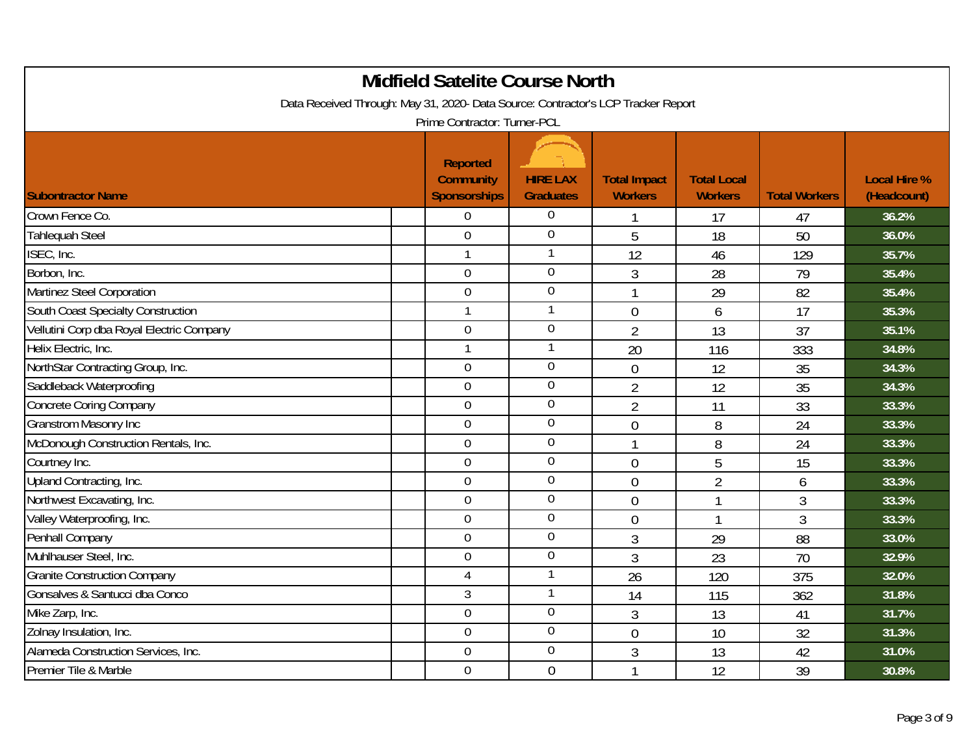| <b>Midfield Satelite Course North</b>                                                                             |                                                     |                                     |                                       |                                      |                      |                                    |  |  |  |
|-------------------------------------------------------------------------------------------------------------------|-----------------------------------------------------|-------------------------------------|---------------------------------------|--------------------------------------|----------------------|------------------------------------|--|--|--|
| Data Received Through: May 31, 2020- Data Source: Contractor's LCP Tracker Report<br>Prime Contractor: Turner-PCL |                                                     |                                     |                                       |                                      |                      |                                    |  |  |  |
| <b>Subontractor Name</b>                                                                                          | Reported<br><b>Community</b><br><b>Sponsorships</b> | <b>HIRE LAX</b><br><b>Graduates</b> | <b>Total Impact</b><br><b>Workers</b> | <b>Total Local</b><br><b>Workers</b> | <b>Total Workers</b> | <b>Local Hire %</b><br>(Headcount) |  |  |  |
| Crown Fence Co.                                                                                                   | $\overline{0}$                                      | $\overline{0}$                      | -1                                    | 17                                   | 47                   | 36.2%                              |  |  |  |
| <b>Tahlequah Steel</b>                                                                                            | $\overline{0}$                                      | $\overline{0}$                      | 5                                     | 18                                   | 50                   | 36.0%                              |  |  |  |
| ISEC, Inc.                                                                                                        | $\overline{1}$                                      | -1                                  | 12                                    | 46                                   | 129                  | 35.7%                              |  |  |  |
| Borbon, Inc.                                                                                                      | $\mathbf 0$                                         | $\overline{0}$                      | 3                                     | 28                                   | 79                   | 35.4%                              |  |  |  |
| Martinez Steel Corporation                                                                                        | $\mathbf 0$                                         | $\mathbf 0$                         | 1                                     | 29                                   | 82                   | 35.4%                              |  |  |  |
| South Coast Specialty Construction                                                                                | $\mathbf{1}$                                        | $\mathbf{1}$                        | $\mathbf 0$                           | 6                                    | 17                   | 35.3%                              |  |  |  |
| Vellutini Corp dba Royal Electric Company                                                                         | $\mathbf 0$                                         | $\overline{0}$                      | $\overline{2}$                        | 13                                   | 37                   | 35.1%                              |  |  |  |
| Helix Electric, Inc.                                                                                              | $\mathbf{1}$                                        | $\mathbf{1}$                        | 20                                    | 116                                  | 333                  | 34.8%                              |  |  |  |
| NorthStar Contracting Group, Inc.                                                                                 | $\overline{0}$                                      | $\overline{0}$                      | $\mathbf 0$                           | 12                                   | 35                   | 34.3%                              |  |  |  |
| Saddleback Waterproofing                                                                                          | $\overline{0}$                                      | $\overline{0}$                      | $\overline{2}$                        | 12                                   | 35                   | 34.3%                              |  |  |  |
| <b>Concrete Coring Company</b>                                                                                    | $\overline{0}$                                      | $\overline{0}$                      | $\overline{2}$                        | 11                                   | 33                   | 33.3%                              |  |  |  |
| <b>Granstrom Masonry Inc</b>                                                                                      | $\overline{0}$                                      | $\overline{0}$                      | $\overline{0}$                        | 8                                    | 24                   | 33.3%                              |  |  |  |
| McDonough Construction Rentals, Inc.                                                                              | $\overline{0}$                                      | $\overline{0}$                      | 1                                     | 8                                    | 24                   | 33.3%                              |  |  |  |
| Courtney Inc.                                                                                                     | $\overline{0}$                                      | $\overline{0}$                      | $\mathbf 0$                           | 5                                    | 15                   | 33.3%                              |  |  |  |
| Upland Contracting, Inc.                                                                                          | $\overline{0}$                                      | $\overline{0}$                      | $\overline{0}$                        | $\overline{2}$                       | 6                    | 33.3%                              |  |  |  |
| Northwest Excavating, Inc.                                                                                        | $\overline{0}$                                      | $\boldsymbol{0}$                    | $\overline{0}$                        | 1                                    | $\overline{3}$       | 33.3%                              |  |  |  |
| Valley Waterproofing, Inc.                                                                                        | $\overline{0}$                                      | $\overline{0}$                      | $\overline{0}$                        | $\mathbf{1}$                         | 3                    | 33.3%                              |  |  |  |
| Penhall Company                                                                                                   | $\overline{0}$                                      | $\overline{0}$                      | $\mathfrak{Z}$                        | 29                                   | 88                   | 33.0%                              |  |  |  |
| Muhlhauser Steel, Inc.                                                                                            | $\mathbf 0$                                         | $\boldsymbol{0}$                    | 3                                     | 23                                   | 70                   | 32.9%                              |  |  |  |
| <b>Granite Construction Company</b>                                                                               | 4                                                   | $\mathbf{1}$                        | 26                                    | 120                                  | 375                  | 32.0%                              |  |  |  |
| Gonsalves & Santucci dba Conco                                                                                    | 3                                                   | $\mathbf{1}$                        | 14                                    | 115                                  | 362                  | 31.8%                              |  |  |  |
| Mike Zarp, Inc.                                                                                                   | $\mathbf 0$                                         | $\overline{0}$                      | $\mathfrak{Z}$                        | 13                                   | 41                   | 31.7%                              |  |  |  |
| Zolnay Insulation, Inc.                                                                                           | $\mathbf 0$                                         | $\overline{0}$                      | $\mathbf 0$                           | 10                                   | 32                   | 31.3%                              |  |  |  |
| Alameda Construction Services, Inc.                                                                               | $\overline{0}$                                      | $\overline{0}$                      | $\overline{3}$                        | 13                                   | 42                   | 31.0%                              |  |  |  |
| Premier Tile & Marble                                                                                             | $\mathbf 0$                                         | $\mathbf 0$                         | 1                                     | 12                                   | 39                   | 30.8%                              |  |  |  |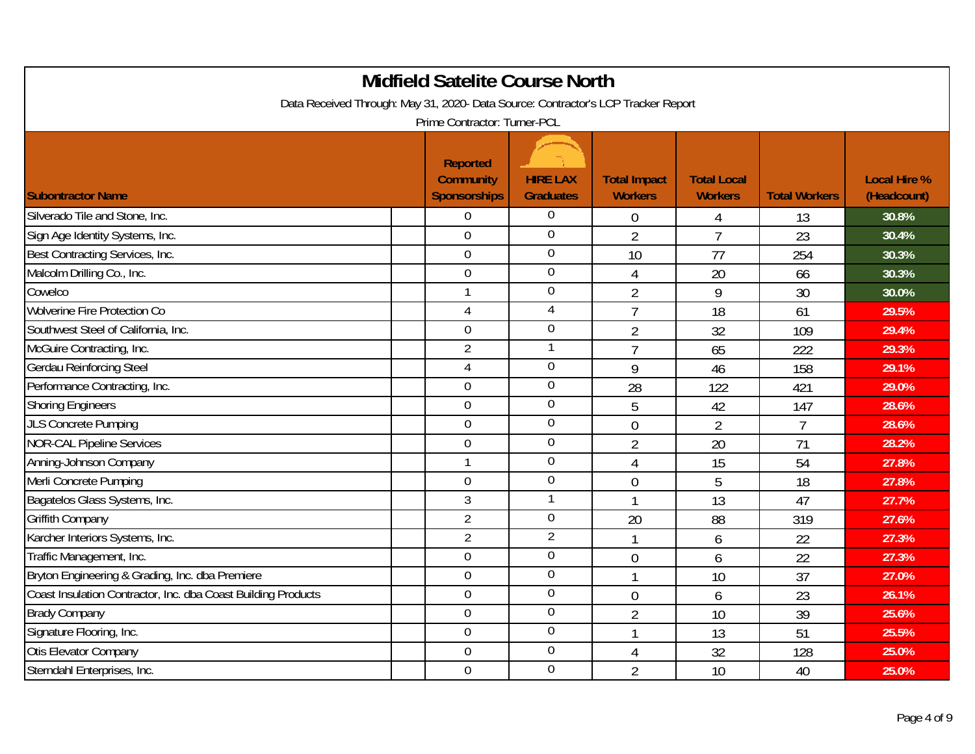| <b>Midfield Satelite Course North</b><br>Data Received Through: May 31, 2020- Data Source: Contractor's LCP Tracker Report |                                                     |                                     |                                       |                                      |                      |                                    |  |  |
|----------------------------------------------------------------------------------------------------------------------------|-----------------------------------------------------|-------------------------------------|---------------------------------------|--------------------------------------|----------------------|------------------------------------|--|--|
| Prime Contractor: Turner-PCL                                                                                               |                                                     |                                     |                                       |                                      |                      |                                    |  |  |
| <b>Subontractor Name</b>                                                                                                   | <b>Reported</b><br><b>Community</b><br>Sponsorships | <b>HIRE LAX</b><br><b>Graduates</b> | <b>Total Impact</b><br><b>Workers</b> | <b>Total Local</b><br><b>Workers</b> | <b>Total Workers</b> | <b>Local Hire %</b><br>(Headcount) |  |  |
| Silverado Tile and Stone, Inc.                                                                                             | $\mathbf 0$                                         | $\boldsymbol{0}$                    | $\mathbf 0$                           | $\overline{4}$                       | 13                   | 30.8%                              |  |  |
| Sign Age Identity Systems, Inc.                                                                                            | $\overline{0}$                                      | $\overline{0}$                      | $\overline{2}$                        | $\overline{7}$                       | 23                   | 30.4%                              |  |  |
| Best Contracting Services, Inc.                                                                                            | $\mathbf 0$                                         | $\overline{0}$                      | 10                                    | 77                                   | 254                  | 30.3%                              |  |  |
| Malcolm Drilling Co., Inc.                                                                                                 | $\overline{0}$                                      | $\boldsymbol{0}$                    | 4                                     | 20                                   | 66                   | 30.3%                              |  |  |
| Cowelco                                                                                                                    | $\overline{1}$                                      | $\boldsymbol{0}$                    | $\overline{2}$                        | 9                                    | 30                   | 30.0%                              |  |  |
| <b>Wolverine Fire Protection Co</b>                                                                                        | 4                                                   | $\overline{4}$                      | $\overline{7}$                        | 18                                   | 61                   | 29.5%                              |  |  |
| Southwest Steel of California, Inc.                                                                                        | $\mathbf 0$                                         | $\boldsymbol{0}$                    | $\overline{2}$                        | 32                                   | 109                  | 29.4%                              |  |  |
| McGuire Contracting, Inc.                                                                                                  | $\overline{2}$                                      | $\mathbf{1}$                        | $\overline{7}$                        | 65                                   | 222                  | 29.3%                              |  |  |
| Gerdau Reinforcing Steel                                                                                                   | 4                                                   | $\overline{0}$                      | 9                                     | 46                                   | 158                  | 29.1%                              |  |  |
| Performance Contracting, Inc.                                                                                              | $\overline{0}$                                      | $\boldsymbol{0}$                    | 28                                    | 122                                  | 421                  | 29.0%                              |  |  |
| <b>Shoring Engineers</b>                                                                                                   | $\overline{0}$                                      | $\mathbf 0$                         | 5                                     | 42                                   | 147                  | 28.6%                              |  |  |
| <b>JLS Concrete Pumping</b>                                                                                                | $\mathbf 0$                                         | $\boldsymbol{0}$                    | $\overline{0}$                        | $\overline{2}$                       | $\overline{7}$       | 28.6%                              |  |  |
| <b>NOR-CAL Pipeline Services</b>                                                                                           | $\mathbf 0$                                         | $\overline{0}$                      | $\overline{2}$                        | 20                                   | 71                   | 28.2%                              |  |  |
| Anning-Johnson Company                                                                                                     | $\overline{1}$                                      | $\boldsymbol{0}$                    | $\overline{4}$                        | 15                                   | 54                   | 27.8%                              |  |  |
| Merli Concrete Pumping                                                                                                     | $\mathbf 0$                                         | $\boldsymbol{0}$                    | $\overline{0}$                        | 5                                    | 18                   | 27.8%                              |  |  |
| Bagatelos Glass Systems, Inc.                                                                                              | 3                                                   | $\mathbf{1}$                        | 1                                     | 13                                   | 47                   | 27.7%                              |  |  |
| <b>Griffith Company</b>                                                                                                    | $\overline{2}$                                      | $\mathbf 0$                         | 20                                    | 88                                   | 319                  | 27.6%                              |  |  |
| Karcher Interiors Systems, Inc.                                                                                            | $\overline{2}$                                      | $\overline{2}$                      | 1                                     | 6                                    | 22                   | 27.3%                              |  |  |
| Traffic Management, Inc.                                                                                                   | $\mathbf 0$                                         | $\boldsymbol{0}$                    | $\mathbf 0$                           | 6                                    | 22                   | 27.3%                              |  |  |
| Bryton Engineering & Grading, Inc. dba Premiere                                                                            | $\Omega$                                            | $\overline{0}$                      |                                       | 10                                   | 37                   | 27.0%                              |  |  |
| Coast Insulation Contractor, Inc. dba Coast Building Products                                                              | $\overline{0}$                                      | $\boldsymbol{0}$                    | $\overline{0}$                        | 6                                    | 23                   | 26.1%                              |  |  |
| <b>Brady Company</b>                                                                                                       | $\mathbf 0$                                         | $\boldsymbol{0}$                    | $\overline{2}$                        | 10                                   | 39                   | 25.6%                              |  |  |
| Signature Flooring, Inc.                                                                                                   | $\mathbf 0$                                         | $\boldsymbol{0}$                    | 1                                     | 13                                   | 51                   | 25.5%                              |  |  |
| <b>Otis Elevator Company</b>                                                                                               | $\overline{0}$                                      | $\overline{0}$                      | $\overline{4}$                        | 32                                   | 128                  | 25.0%                              |  |  |
| Sterndahl Enterprises, Inc.                                                                                                | $\mathbf 0$                                         | $\mathbf 0$                         | $\overline{2}$                        | 10                                   | 40                   | 25.0%                              |  |  |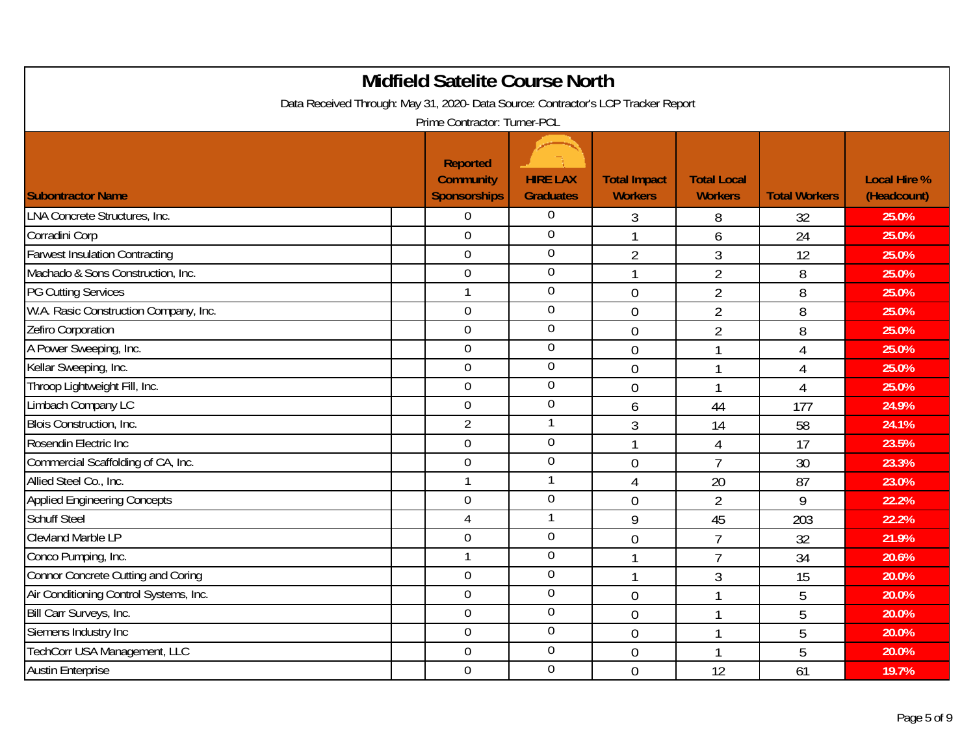| <b>Midfield Satelite Course North</b>                                             |                                                     |                                     |                                       |                                      |                      |                                    |  |  |  |
|-----------------------------------------------------------------------------------|-----------------------------------------------------|-------------------------------------|---------------------------------------|--------------------------------------|----------------------|------------------------------------|--|--|--|
| Data Received Through: May 31, 2020- Data Source: Contractor's LCP Tracker Report |                                                     |                                     |                                       |                                      |                      |                                    |  |  |  |
| Prime Contractor: Turner-PCL                                                      |                                                     |                                     |                                       |                                      |                      |                                    |  |  |  |
| <b>Subontractor Name</b>                                                          | <b>Reported</b><br><b>Community</b><br>Sponsorships | <b>HIRE LAX</b><br><b>Graduates</b> | <b>Total Impact</b><br><b>Workers</b> | <b>Total Local</b><br><b>Workers</b> | <b>Total Workers</b> | <b>Local Hire %</b><br>(Headcount) |  |  |  |
| LNA Concrete Structures, Inc.                                                     | $\mathbf 0$                                         | $\boldsymbol{0}$                    | 3                                     | 8                                    | 32                   | 25.0%                              |  |  |  |
| Corradini Corp                                                                    | $\Omega$                                            | $\overline{0}$                      | 1                                     | 6                                    | 24                   | 25.0%                              |  |  |  |
| <b>Farwest Insulation Contracting</b>                                             | $\mathbf 0$                                         | $\boldsymbol{0}$                    | $\overline{2}$                        | $\overline{3}$                       | 12                   | 25.0%                              |  |  |  |
| Machado & Sons Construction, Inc.                                                 | $\overline{0}$                                      | $\overline{0}$                      | $\mathbf 1$                           | $\overline{2}$                       | 8                    | 25.0%                              |  |  |  |
| <b>PG Cutting Services</b>                                                        | $\mathbf{1}$                                        | $\boldsymbol{0}$                    | $\mathbf 0$                           | $\overline{2}$                       | 8                    | 25.0%                              |  |  |  |
| W.A. Rasic Construction Company, Inc.                                             | $\overline{0}$                                      | $\overline{0}$                      | $\mathbf 0$                           | $\overline{2}$                       | 8                    | 25.0%                              |  |  |  |
| Zefiro Corporation                                                                | $\mathbf 0$                                         | $\boldsymbol{0}$                    | $\mathbf 0$                           | $\overline{2}$                       | 8                    | 25.0%                              |  |  |  |
| A Power Sweeping, Inc.                                                            | $\mathbf 0$                                         | $\boldsymbol{0}$                    | $\overline{0}$                        |                                      | 4                    | 25.0%                              |  |  |  |
| Kellar Sweeping, Inc.                                                             | $\overline{0}$                                      | $\mathbf 0$                         | $\theta$                              |                                      | 4                    | 25.0%                              |  |  |  |
| Throop Lightweight Fill, Inc.                                                     | $\overline{0}$                                      | $\boldsymbol{0}$                    | $\theta$                              |                                      | 4                    | 25.0%                              |  |  |  |
| Limbach Company LC                                                                | $\boldsymbol{0}$                                    | $\boldsymbol{0}$                    | 6                                     | 44                                   | 177                  | 24.9%                              |  |  |  |
| Blois Construction, Inc.                                                          | $\overline{2}$                                      | $\mathbf{1}$                        | 3                                     | 14                                   | 58                   | 24.1%                              |  |  |  |
| Rosendin Electric Inc                                                             | $\overline{0}$                                      | $\overline{0}$                      |                                       | 4                                    | 17                   | 23.5%                              |  |  |  |
| Commercial Scaffolding of CA, Inc.                                                | $\mathbf 0$                                         | $\boldsymbol{0}$                    | $\mathbf 0$                           | $\overline{7}$                       | 30                   | 23.3%                              |  |  |  |
| Allied Steel Co., Inc.                                                            | $\mathbf{1}$                                        | $\mathbf{1}$                        | $\overline{4}$                        | 20                                   | 87                   | 23.0%                              |  |  |  |
| <b>Applied Engineering Concepts</b>                                               | $\mathbf 0$                                         | $\boldsymbol{0}$                    | $\overline{0}$                        | $\overline{2}$                       | 9                    | 22.2%                              |  |  |  |
| Schuff Steel                                                                      | $\overline{4}$                                      | $\mathbf{1}$                        | 9                                     | 45                                   | 203                  | 22.2%                              |  |  |  |
| Clevland Marble LP                                                                | $\overline{0}$                                      | $\boldsymbol{0}$                    | $\mathbf 0$                           | $\overline{7}$                       | 32                   | 21.9%                              |  |  |  |
| Conco Pumping, Inc.                                                               | $\mathbf 1$                                         | $\boldsymbol{0}$                    |                                       | $\overline{7}$                       | 34                   | 20.6%                              |  |  |  |
| Connor Concrete Cutting and Coring                                                | $\Omega$                                            | $\overline{0}$                      |                                       | 3                                    | 15                   | 20.0%                              |  |  |  |
| Air Conditioning Control Systems, Inc.                                            | $\overline{0}$                                      | $\boldsymbol{0}$                    | $\theta$                              |                                      | 5                    | 20.0%                              |  |  |  |
| Bill Carr Surveys, Inc.                                                           | $\mathbf 0$                                         | $\boldsymbol{0}$                    | $\mathbf 0$                           |                                      | 5                    | 20.0%                              |  |  |  |
| Siemens Industry Inc                                                              | $\overline{0}$                                      | $\overline{0}$                      | $\mathbf 0$                           |                                      | 5                    | 20.0%                              |  |  |  |
| TechCorr USA Management, LLC                                                      | $\overline{0}$                                      | $\overline{0}$                      | $\overline{0}$                        |                                      | 5                    | 20.0%                              |  |  |  |
| <b>Austin Enterprise</b>                                                          | $\mathbf 0$                                         | $\boldsymbol{0}$                    | $\overline{0}$                        | 12                                   | 61                   | 19.7%                              |  |  |  |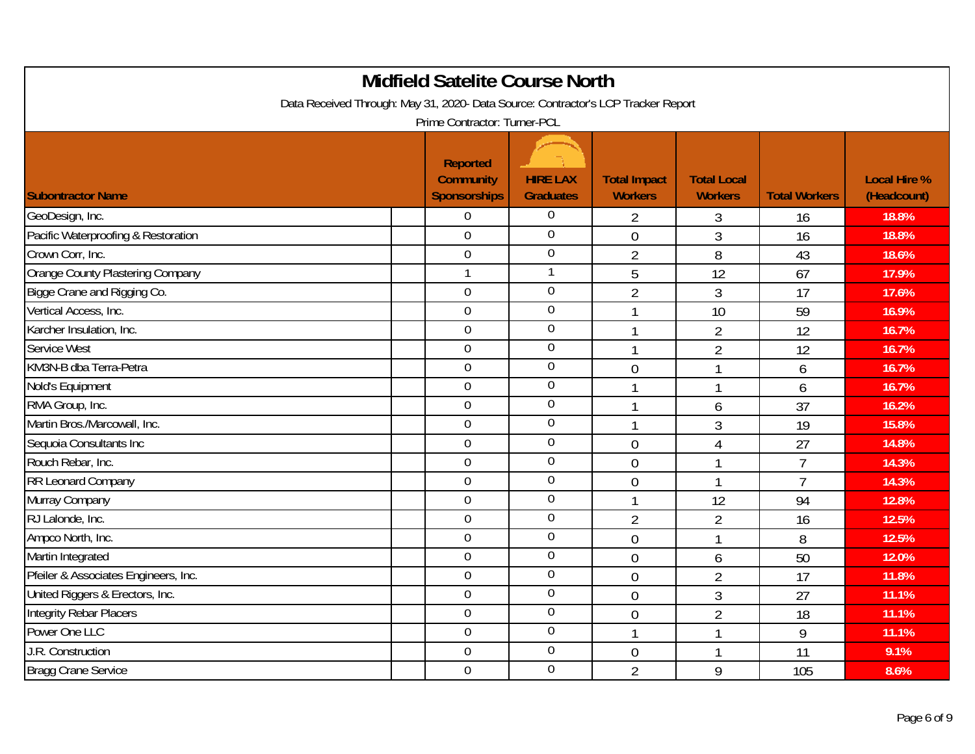| <b>Midfield Satelite Course North</b>                                                                             |                                                     |                                     |                                       |                                      |                      |                                    |  |  |
|-------------------------------------------------------------------------------------------------------------------|-----------------------------------------------------|-------------------------------------|---------------------------------------|--------------------------------------|----------------------|------------------------------------|--|--|
| Data Received Through: May 31, 2020- Data Source: Contractor's LCP Tracker Report<br>Prime Contractor: Turner-PCL |                                                     |                                     |                                       |                                      |                      |                                    |  |  |
| <b>Subontractor Name</b>                                                                                          | <b>Reported</b><br><b>Community</b><br>Sponsorships | <b>HIRE LAX</b><br><b>Graduates</b> | <b>Total Impact</b><br><b>Workers</b> | <b>Total Local</b><br><b>Workers</b> | <b>Total Workers</b> | <b>Local Hire %</b><br>(Headcount) |  |  |
| GeoDesign, Inc.                                                                                                   | $\boldsymbol{0}$                                    | $\overline{0}$                      | $\overline{2}$                        | 3                                    | 16                   | 18.8%                              |  |  |
| Pacific Waterproofing & Restoration                                                                               | $\overline{0}$                                      | $\overline{0}$                      | $\overline{0}$                        | $\overline{3}$                       | 16                   | 18.8%                              |  |  |
| Crown Corr, Inc.                                                                                                  | $\boldsymbol{0}$                                    | $\overline{0}$                      | $\overline{2}$                        | 8                                    | 43                   | 18.6%                              |  |  |
| Orange County Plastering Company                                                                                  | $\mathbf{1}$                                        | $\mathbf{1}$                        | 5                                     | 12                                   | 67                   | 17.9%                              |  |  |
| Bigge Crane and Rigging Co.                                                                                       | $\mathbf 0$                                         | $\overline{0}$                      | $\overline{2}$                        | 3                                    | 17                   | 17.6%                              |  |  |
| Vertical Access, Inc.                                                                                             | $\overline{0}$                                      | $\overline{0}$                      |                                       | 10                                   | 59                   | 16.9%                              |  |  |
| Karcher Insulation, Inc.                                                                                          | $\mathbf 0$                                         | $\overline{0}$                      |                                       | $\overline{2}$                       | 12                   | 16.7%                              |  |  |
| Service West                                                                                                      | $\overline{0}$                                      | $\boldsymbol{0}$                    | 1                                     | $\overline{2}$                       | 12                   | 16.7%                              |  |  |
| KM3N-B dba Terra-Petra                                                                                            | $\overline{0}$                                      | $\mathbf 0$                         | $\overline{0}$                        |                                      | 6                    | 16.7%                              |  |  |
| Nold's Equipment                                                                                                  | $\overline{0}$                                      | $\mathbf 0$                         | 1                                     |                                      | 6                    | 16.7%                              |  |  |
| RMA Group, Inc.                                                                                                   | $\overline{0}$                                      | $\overline{0}$                      |                                       | 6                                    | 37                   | 16.2%                              |  |  |
| Martin Bros./Marcowall, Inc.                                                                                      | $\boldsymbol{0}$                                    | $\overline{0}$                      | 1                                     | 3                                    | 19                   | 15.8%                              |  |  |
| Sequoia Consultants Inc                                                                                           | $\overline{0}$                                      | $\overline{0}$                      | $\mathbf 0$                           | $\overline{4}$                       | 27                   | 14.8%                              |  |  |
| Rouch Rebar, Inc.                                                                                                 | $\mathbf 0$                                         | $\boldsymbol{0}$                    | $\overline{0}$                        | 1                                    | $\overline{7}$       | 14.3%                              |  |  |
| RR Leonard Company                                                                                                | $\mathbf 0$                                         | $\boldsymbol{0}$                    | $\mathbf 0$                           | 1                                    | $\overline{7}$       | 14.3%                              |  |  |
| Murray Company                                                                                                    | $\overline{0}$                                      | $\overline{0}$                      | $\mathbf{1}$                          | 12                                   | 94                   | 12.8%                              |  |  |
| RJ Lalonde, Inc.                                                                                                  | $\overline{0}$                                      | $\overline{0}$                      | $\overline{2}$                        | $\overline{2}$                       | 16                   | 12.5%                              |  |  |
| Ampco North, Inc.                                                                                                 | $\mathbf 0$                                         | $\boldsymbol{0}$                    | $\mathbf 0$                           |                                      | 8                    | 12.5%                              |  |  |
| Martin Integrated                                                                                                 | $\overline{0}$                                      | $\boldsymbol{0}$                    | $\overline{0}$                        | 6                                    | 50                   | 12.0%                              |  |  |
| Pfeiler & Associates Engineers, Inc.                                                                              | $\overline{0}$                                      | $\overline{0}$                      | $\overline{0}$                        | $\overline{2}$                       | 17                   | 11.8%                              |  |  |
| United Riggers & Erectors, Inc.                                                                                   | $\overline{0}$                                      | $\boldsymbol{0}$                    | $\mathbf 0$                           | 3                                    | 27                   | 11.1%                              |  |  |
| Integrity Rebar Placers                                                                                           | $\boldsymbol{0}$                                    | $\overline{0}$                      | $\overline{0}$                        | $\overline{2}$                       | 18                   | 11.1%                              |  |  |
| Power One LLC                                                                                                     | $\overline{0}$                                      | $\overline{0}$                      | $\mathbf{1}$                          | 1                                    | 9                    | 11.1%                              |  |  |
| J.R. Construction                                                                                                 | $\overline{0}$                                      | $\overline{0}$                      | $\mathbf 0$                           |                                      | 11                   | 9.1%                               |  |  |
| <b>Bragg Crane Service</b>                                                                                        | $\mathbf 0$                                         | $\boldsymbol{0}$                    | $\overline{2}$                        | 9                                    | 105                  | 8.6%                               |  |  |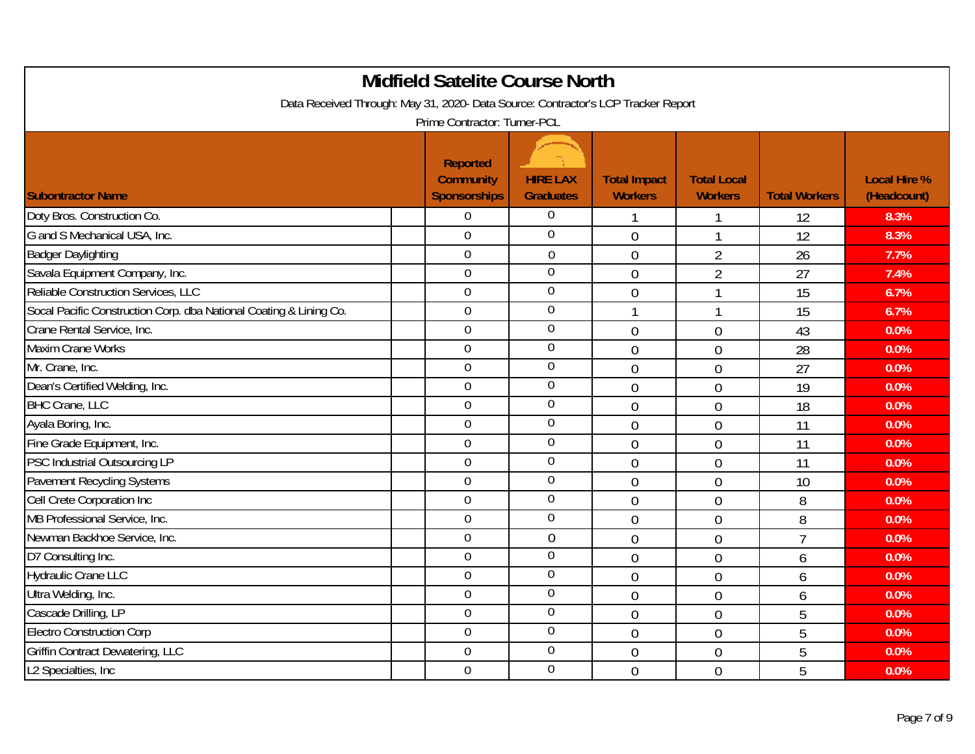| <b>Midfield Satelite Course North</b>                                             |                                                     |                                     |                                       |                                      |                      |                                    |  |  |  |
|-----------------------------------------------------------------------------------|-----------------------------------------------------|-------------------------------------|---------------------------------------|--------------------------------------|----------------------|------------------------------------|--|--|--|
| Data Received Through: May 31, 2020- Data Source: Contractor's LCP Tracker Report |                                                     |                                     |                                       |                                      |                      |                                    |  |  |  |
| Prime Contractor: Turner-PCL                                                      |                                                     |                                     |                                       |                                      |                      |                                    |  |  |  |
| <b>Subontractor Name</b>                                                          | <b>Reported</b><br><b>Community</b><br>Sponsorships | <b>HIRE LAX</b><br><b>Graduates</b> | <b>Total Impact</b><br><b>Workers</b> | <b>Total Local</b><br><b>Workers</b> | <b>Total Workers</b> | <b>Local Hire %</b><br>(Headcount) |  |  |  |
| Doty Bros. Construction Co.                                                       | $\mathbf 0$                                         | $\overline{0}$                      | $\mathbf{1}$                          | 1                                    | 12                   | 8.3%                               |  |  |  |
| G and S Mechanical USA, Inc.                                                      | $\overline{0}$                                      | $\overline{0}$                      | $\overline{0}$                        | $\overline{1}$                       | 12                   | 8.3%                               |  |  |  |
| <b>Badger Daylighting</b>                                                         | $\mathbf 0$                                         | $\mathbf 0$                         | $\overline{0}$                        | $\overline{2}$                       | 26                   | 7.7%                               |  |  |  |
| Savala Equipment Company, Inc.                                                    | $\overline{0}$                                      | $\overline{0}$                      | $\overline{0}$                        | $\overline{2}$                       | 27                   | 7.4%                               |  |  |  |
| Reliable Construction Services, LLC                                               | $\overline{0}$                                      | $\overline{0}$                      | $\overline{0}$                        | $\mathbf{1}$                         | 15                   | 6.7%                               |  |  |  |
| Socal Pacific Construction Corp. dba National Coating & Lining Co.                | $\overline{0}$                                      | $\overline{0}$                      | $\mathbf{1}$                          |                                      | 15                   | 6.7%                               |  |  |  |
| Crane Rental Service, Inc.                                                        | $\overline{0}$                                      | $\boldsymbol{0}$                    | $\mathbf{0}$                          | $\mathbf 0$                          | 43                   | 0.0%                               |  |  |  |
| <b>Maxim Crane Works</b>                                                          | $\overline{0}$                                      | $\boldsymbol{0}$                    | $\overline{0}$                        | 0                                    | 28                   | 0.0%                               |  |  |  |
| Mr. Crane, Inc.                                                                   | $\overline{0}$                                      | $\overline{0}$                      | $\overline{0}$                        | $\overline{0}$                       | 27                   | 0.0%                               |  |  |  |
| Dean's Certified Welding, Inc.                                                    | $\overline{0}$                                      | $\overline{0}$                      | $\mathbf 0$                           | 0                                    | 19                   | 0.0%                               |  |  |  |
| <b>BHC Crane, LLC</b>                                                             | $\overline{0}$                                      | $\overline{0}$                      | $\overline{0}$                        | $\overline{0}$                       | 18                   | 0.0%                               |  |  |  |
| Ayala Boring, Inc.                                                                | $\mathbf 0$                                         | $\overline{0}$                      | $\overline{0}$                        | $\overline{0}$                       | 11                   | 0.0%                               |  |  |  |
| Fine Grade Equipment, Inc.                                                        | $\overline{0}$                                      | $\overline{0}$                      | $\overline{0}$                        | $\overline{0}$                       | 11                   | 0.0%                               |  |  |  |
| PSC Industrial Outsourcing LP                                                     | $\mathbf 0$                                         | $\boldsymbol{0}$                    | $\overline{0}$                        | $\overline{0}$                       | 11                   | 0.0%                               |  |  |  |
| Pavement Recycling Systems                                                        | $\overline{0}$                                      | $\overline{0}$                      | $\overline{0}$                        | $\overline{0}$                       | 10                   | 0.0%                               |  |  |  |
| Cell Crete Corporation Inc                                                        | $\overline{0}$                                      | $\boldsymbol{0}$                    | $\overline{0}$                        | 0                                    | 8                    | 0.0%                               |  |  |  |
| MB Professional Service, Inc.                                                     | $\overline{0}$                                      | $\overline{0}$                      | $\overline{0}$                        | $\overline{0}$                       | 8                    | 0.0%                               |  |  |  |
| Newman Backhoe Service, Inc.                                                      | $\overline{0}$                                      | $\overline{0}$                      | $\mathbf 0$                           | $\mathbf 0$                          | $\overline{1}$       | 0.0%                               |  |  |  |
| D7 Consulting Inc.                                                                | $\overline{0}$                                      | $\overline{0}$                      | $\overline{0}$                        | $\overline{0}$                       | 6                    | 0.0%                               |  |  |  |
| <b>Hydraulic Crane LLC</b>                                                        | $\overline{0}$                                      | $\overline{0}$                      | $\overline{0}$                        | $\overline{0}$                       | 6                    | 0.0%                               |  |  |  |
| Ultra Welding, Inc.                                                               | $\overline{0}$                                      | $\overline{0}$                      | $\mathbf 0$                           | 0                                    | 6                    | 0.0%                               |  |  |  |
| Cascade Drilling, LP                                                              | $\mathbf 0$                                         | $\overline{0}$                      | $\overline{0}$                        | $\overline{0}$                       | 5                    | 0.0%                               |  |  |  |
| <b>Electro Construction Corp</b>                                                  | $\overline{0}$                                      | $\overline{0}$                      | $\overline{0}$                        | $\overline{0}$                       | 5                    | 0.0%                               |  |  |  |
| <b>Griffin Contract Dewatering, LLC</b>                                           | $\overline{0}$                                      | $\overline{0}$                      | $\overline{0}$                        | $\overline{0}$                       | 5                    | 0.0%                               |  |  |  |
| L2 Specialties, Inc.                                                              | $\mathbf 0$                                         | $\overline{0}$                      | $\overline{0}$                        | $\overline{0}$                       | 5                    | 0.0%                               |  |  |  |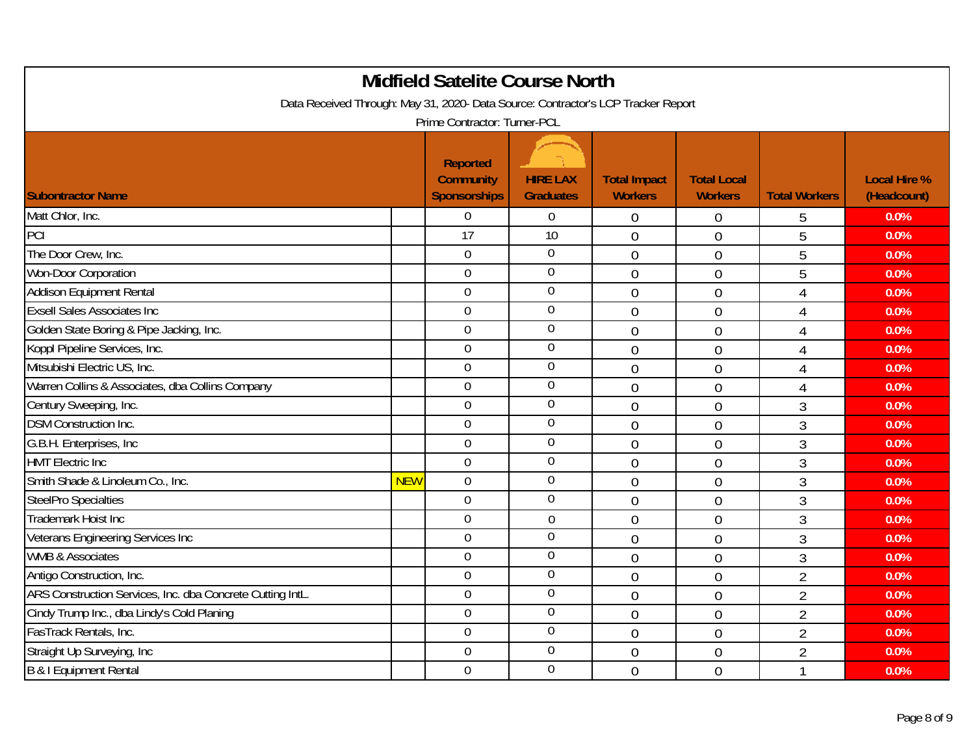| <b>Midfield Satelite Course North</b>                                             |            |                                                     |                                     |                                       |                                      |                      |                                    |  |
|-----------------------------------------------------------------------------------|------------|-----------------------------------------------------|-------------------------------------|---------------------------------------|--------------------------------------|----------------------|------------------------------------|--|
| Data Received Through: May 31, 2020- Data Source: Contractor's LCP Tracker Report |            |                                                     |                                     |                                       |                                      |                      |                                    |  |
| Prime Contractor: Turner-PCL                                                      |            |                                                     |                                     |                                       |                                      |                      |                                    |  |
| <b>Subontractor Name</b>                                                          |            | <b>Reported</b><br><b>Community</b><br>Sponsorships | <b>HIRE LAX</b><br><b>Graduates</b> | <b>Total Impact</b><br><b>Workers</b> | <b>Total Local</b><br><b>Workers</b> | <b>Total Workers</b> | <b>Local Hire %</b><br>(Headcount) |  |
| Matt Chlor, Inc.                                                                  |            | $\boldsymbol{0}$                                    | $\mathbf 0$                         | $\mathbf 0$                           | 0                                    | 5                    | 0.0%                               |  |
| PCI                                                                               |            | $\overline{17}$                                     | 10                                  | $\overline{0}$                        | $\mathbf 0$                          | 5                    | 0.0%                               |  |
| The Door Crew, Inc.                                                               |            | $\mathbf 0$                                         | $\overline{0}$                      | $\overline{0}$                        | $\overline{0}$                       | 5                    | 0.0%                               |  |
| Won-Door Corporation                                                              |            | $\overline{0}$                                      | $\overline{0}$                      | $\overline{0}$                        | $\mathbf 0$                          | 5                    | 0.0%                               |  |
| Addison Equipment Rental                                                          |            | $\overline{0}$                                      | $\overline{0}$                      | $\overline{0}$                        | $\overline{0}$                       | 4                    | 0.0%                               |  |
| <b>Exsell Sales Associates Inc</b>                                                |            | $\overline{0}$                                      | $\overline{0}$                      | $\mathbf 0$                           | $\overline{0}$                       | $\overline{4}$       | 0.0%                               |  |
| Golden State Boring & Pipe Jacking, Inc.                                          |            | $\mathbf 0$                                         | $\overline{0}$                      | $\mathbf{0}$                          | $\mathbf 0$                          | $\overline{4}$       | 0.0%                               |  |
| Koppl Pipeline Services, Inc.                                                     |            | $\mathbf 0$                                         | $\boldsymbol{0}$                    | $\overline{0}$                        | 0                                    | $\overline{4}$       | 0.0%                               |  |
| Mitsubishi Electric US, Inc.                                                      |            | $\overline{0}$                                      | $\overline{0}$                      | $\overline{0}$                        | $\overline{0}$                       | $\overline{4}$       | 0.0%                               |  |
| Warren Collins & Associates, dba Collins Company                                  |            | $\overline{0}$                                      | $\overline{0}$                      | $\mathbf 0$                           | 0                                    | $\overline{4}$       | 0.0%                               |  |
| Century Sweeping, Inc.                                                            |            | $\overline{0}$                                      | $\overline{0}$                      | $\overline{0}$                        | $\overline{0}$                       | 3                    | 0.0%                               |  |
| <b>DSM Construction Inc.</b>                                                      |            | $\mathbf 0$                                         | $\overline{0}$                      | $\overline{0}$                        | $\overline{0}$                       | $\overline{3}$       | 0.0%                               |  |
| G.B.H. Enterprises, Inc                                                           |            | $\overline{0}$                                      | $\overline{0}$                      | $\overline{0}$                        | $\overline{0}$                       | 3                    | 0.0%                               |  |
| <b>HMT</b> Electric Inc                                                           |            | $\mathbf 0$                                         | $\boldsymbol{0}$                    | $\overline{0}$                        | $\overline{0}$                       | 3                    | 0.0%                               |  |
| Smith Shade & Linoleum Co., Inc.                                                  | <b>NEW</b> | $\overline{0}$                                      | $\boldsymbol{0}$                    | $\overline{0}$                        | $\overline{0}$                       | 3                    | 0.0%                               |  |
| <b>SteelPro Specialties</b>                                                       |            | $\overline{0}$                                      | $\boldsymbol{0}$                    | $\overline{0}$                        | 0                                    | $\overline{3}$       | 0.0%                               |  |
| Trademark Hoist Inc                                                               |            | $\overline{0}$                                      | $\mathbf 0$                         | $\overline{0}$                        | $\overline{0}$                       | $\overline{3}$       | 0.0%                               |  |
| Veterans Engineering Services Inc                                                 |            | $\overline{0}$                                      | $\mathbf 0$                         | $\mathbf 0$                           | $\mathbf 0$                          | $\overline{3}$       | 0.0%                               |  |
| <b>WMB &amp; Associates</b>                                                       |            | $\overline{0}$                                      | $\overline{0}$                      | $\overline{0}$                        | $\overline{0}$                       | 3                    | 0.0%                               |  |
| Antigo Construction, Inc.                                                         |            | $\overline{0}$                                      | $\overline{0}$                      | $\overline{0}$                        | $\overline{0}$                       | $\overline{2}$       | 0.0%                               |  |
| ARS Construction Services, Inc. dba Concrete Cutting IntL.                        |            | $\overline{0}$                                      | $\overline{0}$                      | $\mathbf 0$                           | 0                                    | $\overline{2}$       | 0.0%                               |  |
| Cindy Trump Inc., dba Lindy's Cold Planing                                        |            | $\mathbf 0$                                         | $\overline{0}$                      | $\overline{0}$                        | $\overline{0}$                       | $\overline{2}$       | 0.0%                               |  |
| FasTrack Rentals, Inc.                                                            |            | $\overline{0}$                                      | $\overline{0}$                      | $\overline{0}$                        | $\overline{0}$                       | $\overline{2}$       | 0.0%                               |  |
| Straight Up Surveying, Inc                                                        |            | $\overline{0}$                                      | $\overline{0}$                      | $\overline{0}$                        | $\overline{0}$                       | $\overline{2}$       | 0.0%                               |  |
| <b>B &amp; I Equipment Rental</b>                                                 |            | $\mathbf 0$                                         | $\overline{0}$                      | $\overline{0}$                        | $\overline{0}$                       |                      | 0.0%                               |  |